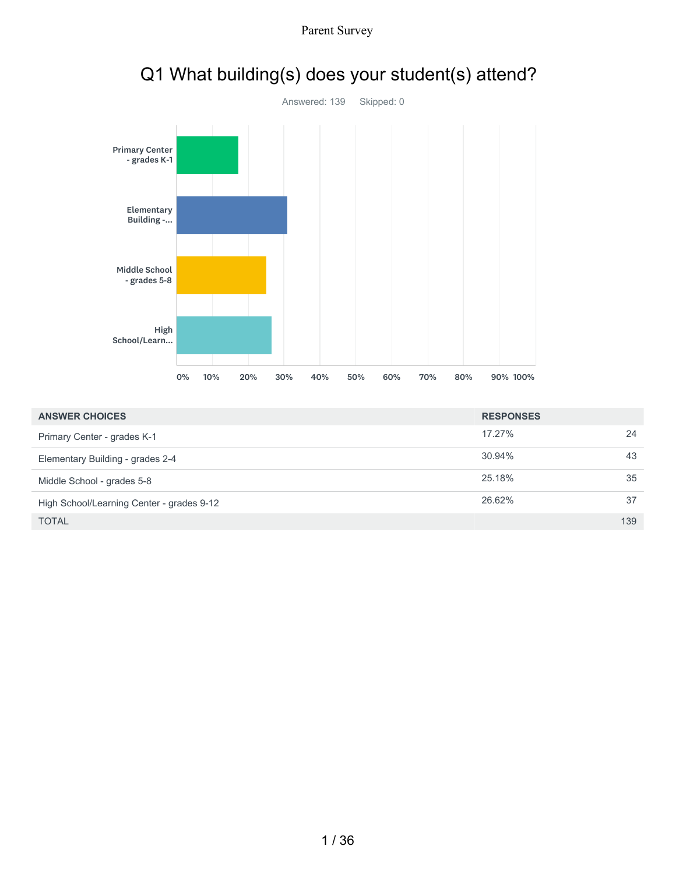

# Q1 What building(s) does your student(s) attend?

Parent Survey

| <b>ANSWER CHOICES</b>                     | <b>RESPONSES</b> |     |
|-------------------------------------------|------------------|-----|
| Primary Center - grades K-1               | 17.27%           | 24  |
| Elementary Building - grades 2-4          | 30.94%           | 43  |
| Middle School - grades 5-8                | 25.18%           | 35  |
| High School/Learning Center - grades 9-12 | 26.62%           | 37  |
| <b>TOTAL</b>                              |                  | 139 |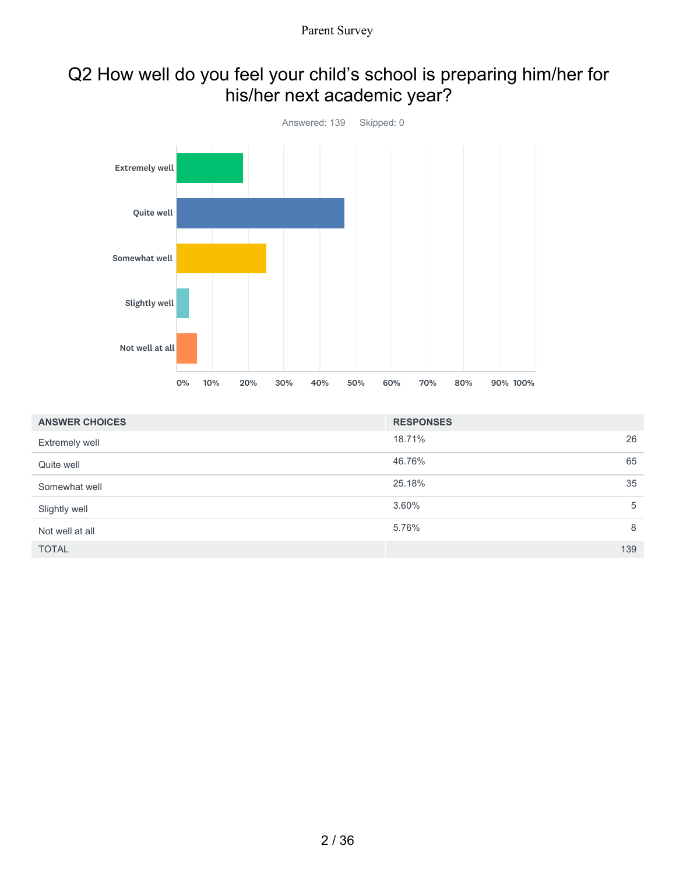### Q2 How well do you feel your child's school is preparing him/her for his/her next academic year?



| <b>ANSWER CHOICES</b> | <b>RESPONSES</b> |     |
|-----------------------|------------------|-----|
| <b>Extremely well</b> | 18.71%           | 26  |
| Quite well            | 46.76%           | 65  |
| Somewhat well         | 25.18%           | 35  |
| Slightly well         | 3.60%            | 5   |
| Not well at all       | 5.76%            | 8   |
| <b>TOTAL</b>          |                  | 139 |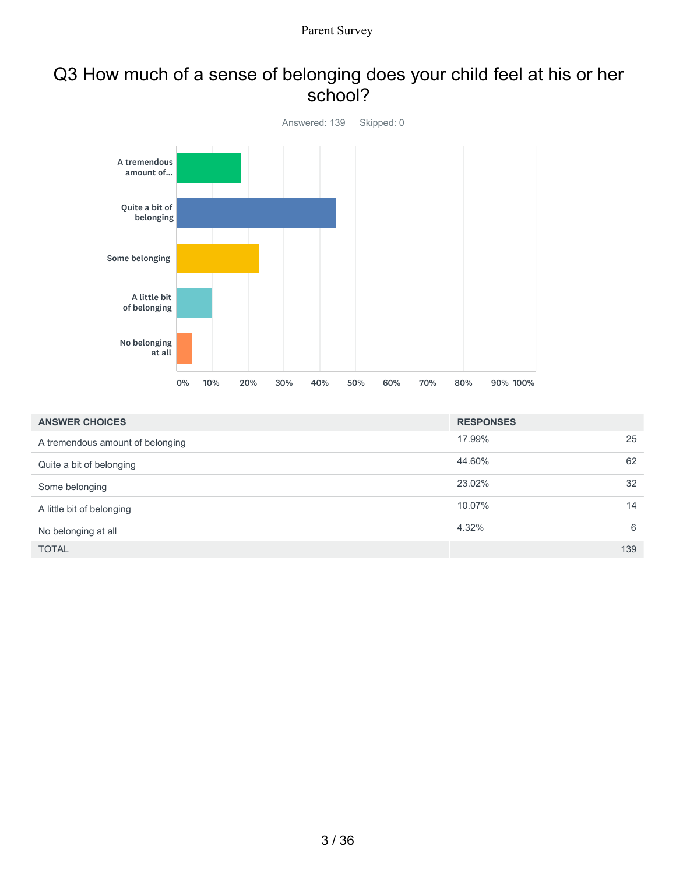#### Q3 How much of a sense of belonging does your child feel at his or her school?



| <b>ANSWER CHOICES</b>            | <b>RESPONSES</b> |     |
|----------------------------------|------------------|-----|
| A tremendous amount of belonging | 17.99%           | 25  |
| Quite a bit of belonging         | 44.60%           | 62  |
| Some belonging                   | 23.02%           | 32  |
| A little bit of belonging        | 10.07%           | 14  |
| No belonging at all              | 4.32%            | 6   |
| <b>TOTAL</b>                     |                  | 139 |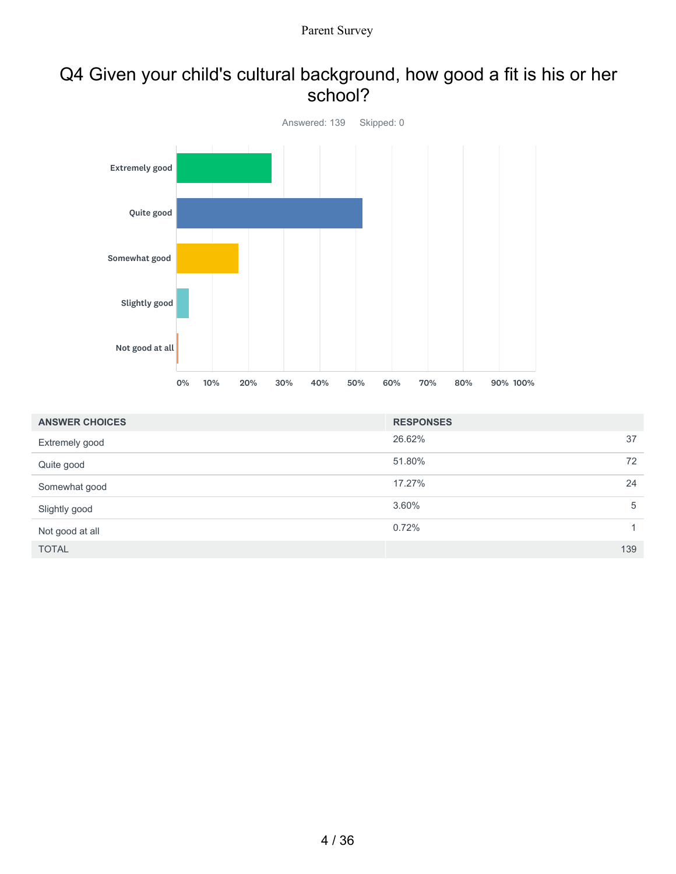#### Q4 Given your child's cultural background, how good a fit is his or her school?



| <b>ANSWER CHOICES</b> | <b>RESPONSES</b> |              |
|-----------------------|------------------|--------------|
| Extremely good        | 26.62%           | 37           |
| Quite good            | 51.80%           | 72           |
| Somewhat good         | 17.27%           | 24           |
| Slightly good         | 3.60%            | 5            |
| Not good at all       | 0.72%            | $\mathbf{1}$ |
| <b>TOTAL</b>          |                  | 139          |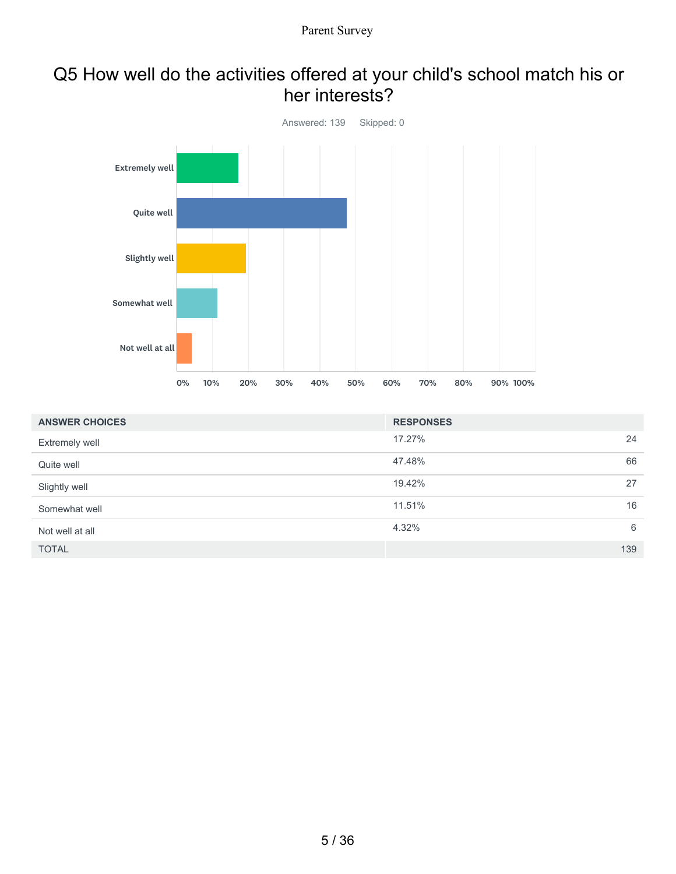#### Q5 How well do the activities offered at your child's school match his or her interests?



| <b>ANSWER CHOICES</b> | <b>RESPONSES</b> |     |
|-----------------------|------------------|-----|
| Extremely well        | 17.27%           | 24  |
| Quite well            | 47.48%           | 66  |
| Slightly well         | 19.42%           | 27  |
| Somewhat well         | 11.51%           | 16  |
| Not well at all       | 4.32%            | 6   |
| <b>TOTAL</b>          |                  | 139 |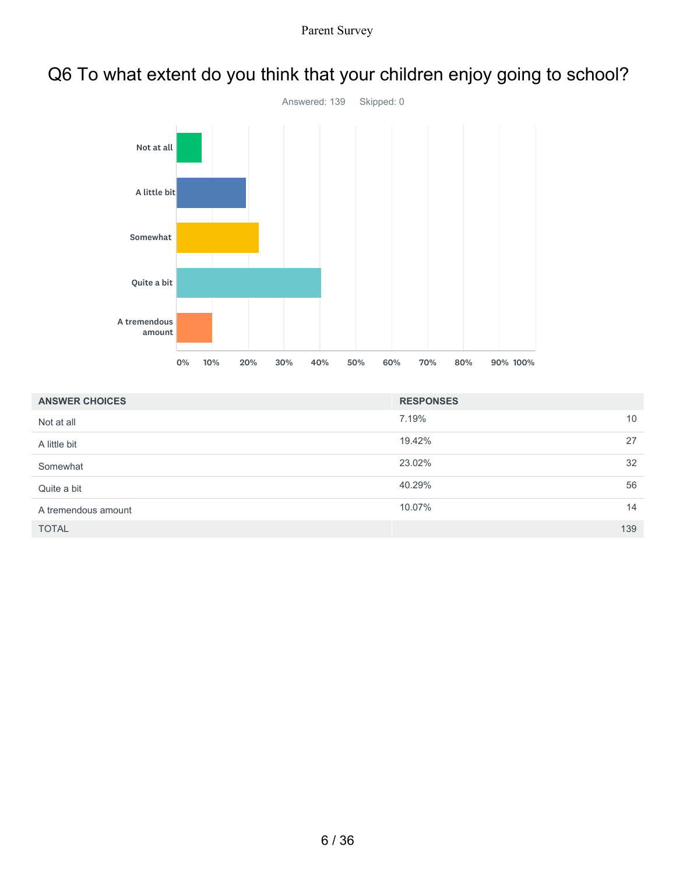

# Q6 To what extent do you think that your children enjoy going to school?

| <b>ANSWER CHOICES</b> | <b>RESPONSES</b> |     |
|-----------------------|------------------|-----|
| Not at all            | 7.19%            | 10  |
| A little bit          | 19.42%           | 27  |
| Somewhat              | 23.02%           | 32  |
| Quite a bit           | 40.29%           | 56  |
| A tremendous amount   | 10.07%           | 14  |
| <b>TOTAL</b>          |                  | 139 |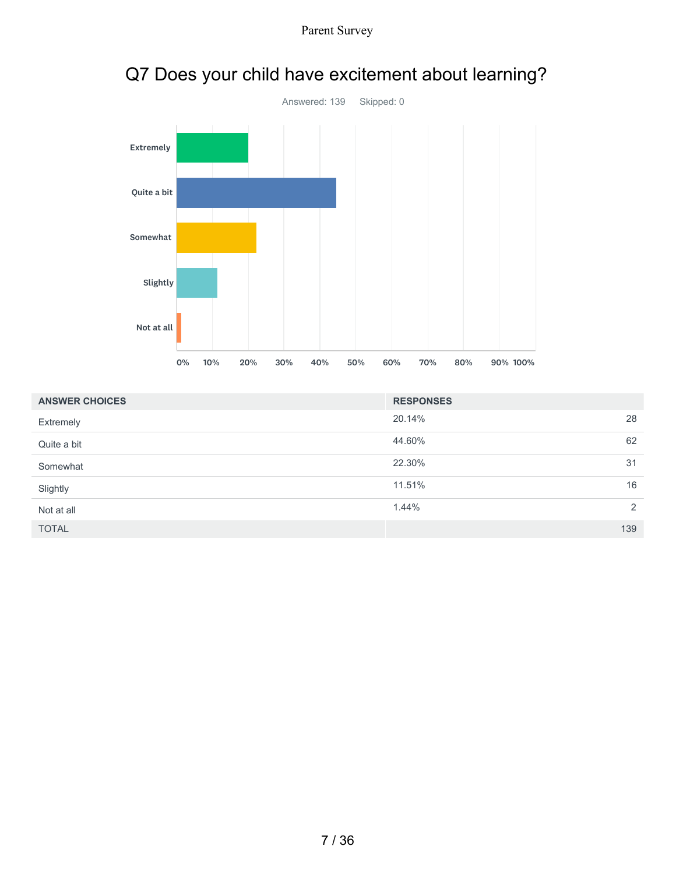



|  |  |  |  | Q7 Does your child have excitement about learning? |  |  |
|--|--|--|--|----------------------------------------------------|--|--|
|--|--|--|--|----------------------------------------------------|--|--|

| <b>ANSWER CHOICES</b> | <b>RESPONSES</b> |               |
|-----------------------|------------------|---------------|
| Extremely             | 20.14%           | 28            |
| Quite a bit           | 44.60%           | 62            |
| Somewhat              | 22.30%           | 31            |
| Slightly              | 11.51%           | 16            |
| Not at all            | 1.44%            | $\mathcal{P}$ |
| <b>TOTAL</b>          |                  | 139           |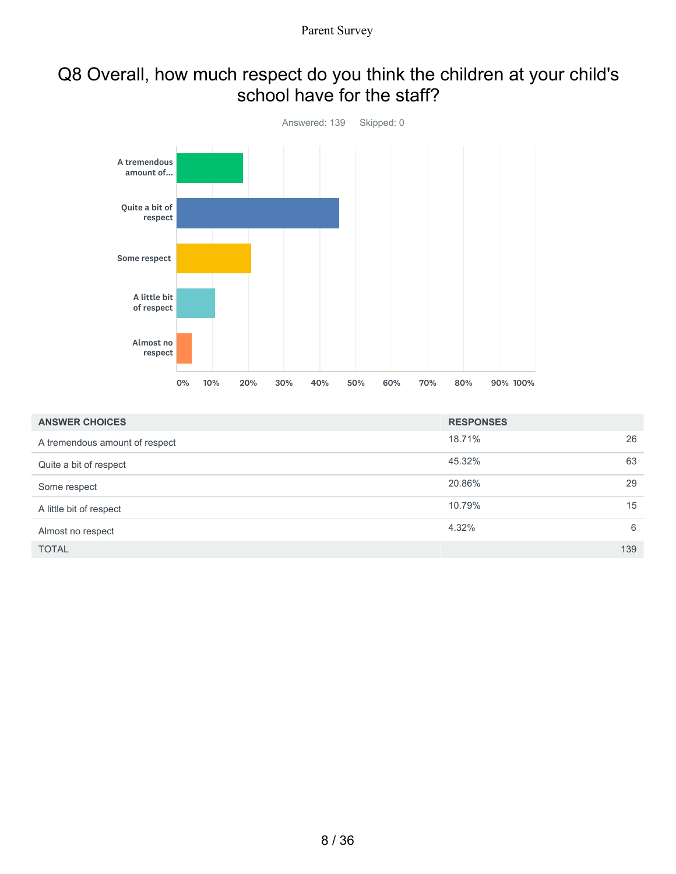#### Q8 Overall, how much respect do you think the children at your child's school have for the staff?



| <b>ANSWER CHOICES</b>          | <b>RESPONSES</b> |     |
|--------------------------------|------------------|-----|
| A tremendous amount of respect | 18.71%           | 26  |
| Quite a bit of respect         | 45.32%           | 63  |
| Some respect                   | 20.86%           | 29  |
| A little bit of respect        | 10.79%           | 15  |
| Almost no respect              | 4.32%            | 6   |
| <b>TOTAL</b>                   |                  | 139 |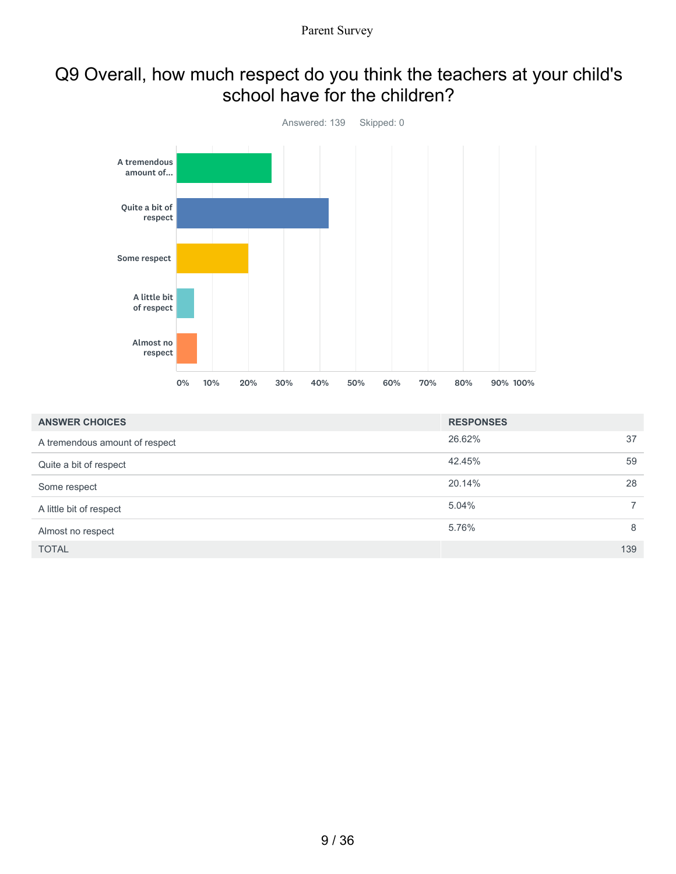#### Q9 Overall, how much respect do you think the teachers at your child's school have for the children?



| <b>ANSWER CHOICES</b>          | <b>RESPONSES</b> |                |
|--------------------------------|------------------|----------------|
| A tremendous amount of respect | 26.62%           | 37             |
| Quite a bit of respect         | 42.45%           | 59             |
| Some respect                   | 20.14%           | 28             |
| A little bit of respect        | 5.04%            | $\overline{7}$ |
| Almost no respect              | 5.76%            | 8              |
| <b>TOTAL</b>                   |                  | 139            |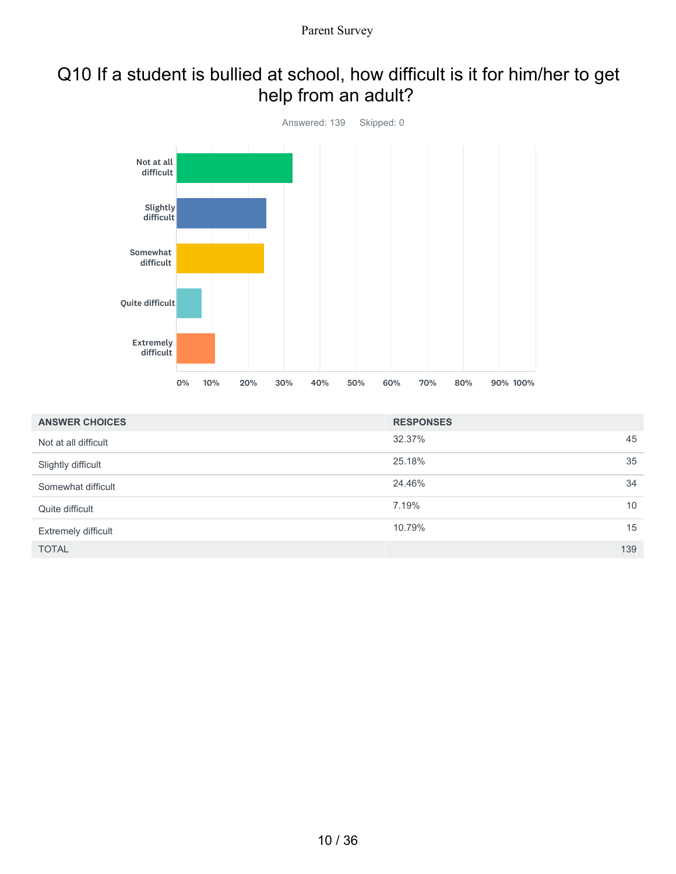# Q10 If a student is bullied at school, how difficult is it for him/her to get help from an adult?



| <b>ANSWER CHOICES</b>      | <b>RESPONSES</b> |     |
|----------------------------|------------------|-----|
| Not at all difficult       | 32.37%           | 45  |
| Slightly difficult         | 25.18%           | 35  |
| Somewhat difficult         | 24.46%           | 34  |
| Quite difficult            | 7.19%            | 10  |
| <b>Extremely difficult</b> | 10.79%           | 15  |
| <b>TOTAL</b>               |                  | 139 |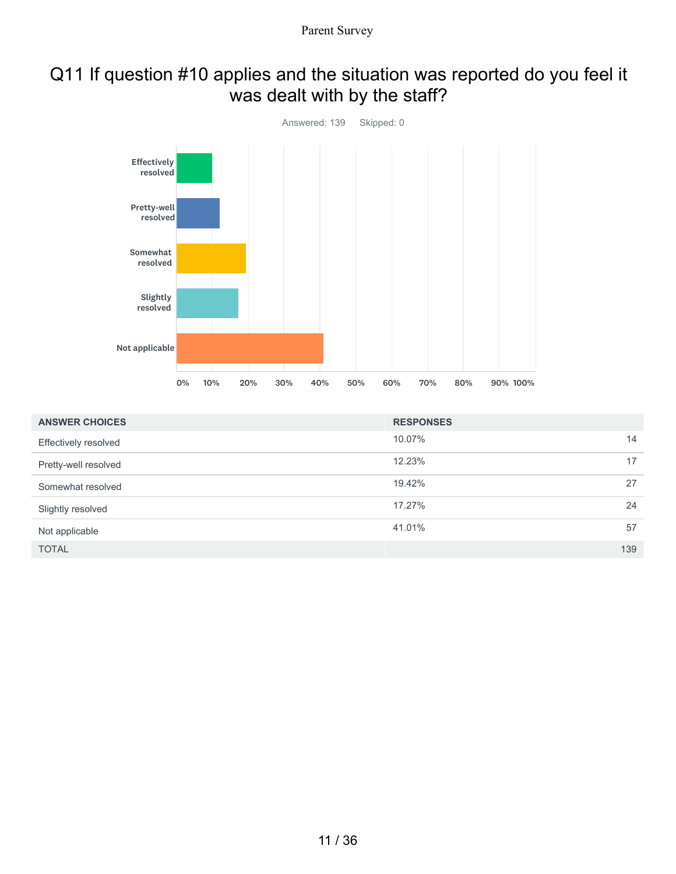### Q11 If question #10 applies and the situation was reported do you feel it was dealt with by the staff?



| <b>ANSWER CHOICES</b>       | <b>RESPONSES</b> |     |
|-----------------------------|------------------|-----|
| <b>Effectively resolved</b> | 10.07%           | 14  |
| Pretty-well resolved        | 12.23%           | 17  |
| Somewhat resolved           | 19.42%           | 27  |
| Slightly resolved           | 17.27%           | 24  |
| Not applicable              | 41.01%           | 57  |
| <b>TOTAL</b>                |                  | 139 |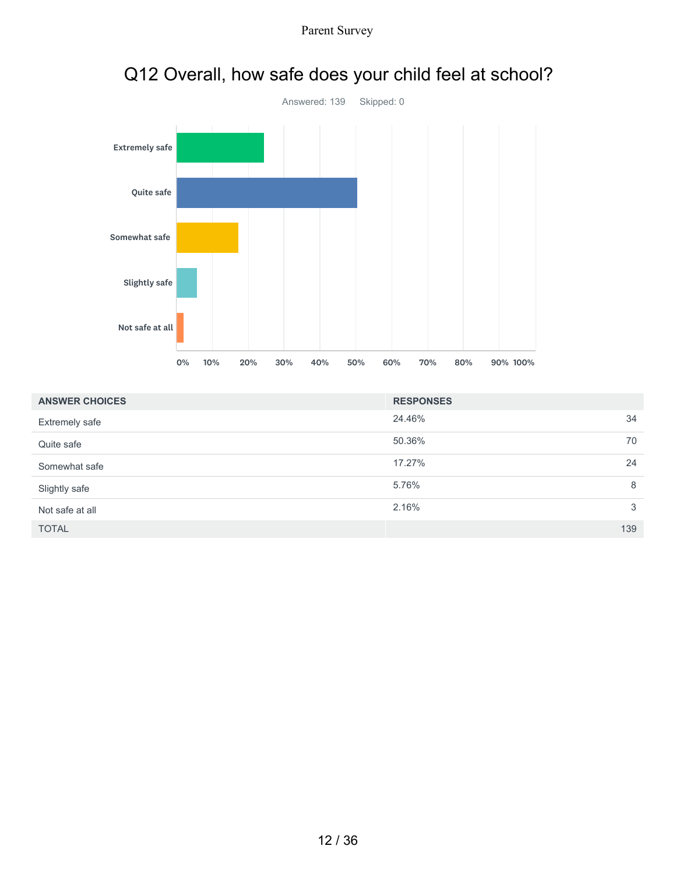

| <b>ANSWER CHOICES</b> | <b>RESPONSES</b> |    |
|-----------------------|------------------|----|
| Extremely safe        | 24.46%<br>34     |    |
| Quite safe            | 50.36%           | 70 |
| Somewhat safe         | 17.27%<br>24     |    |
| Slightly safe         | 5.76%            | 8  |
| Not safe at all       | 2.16%            | 3  |
| <b>TOTAL</b>          | 139              |    |

## Q12 Overall, how safe does your child feel at school?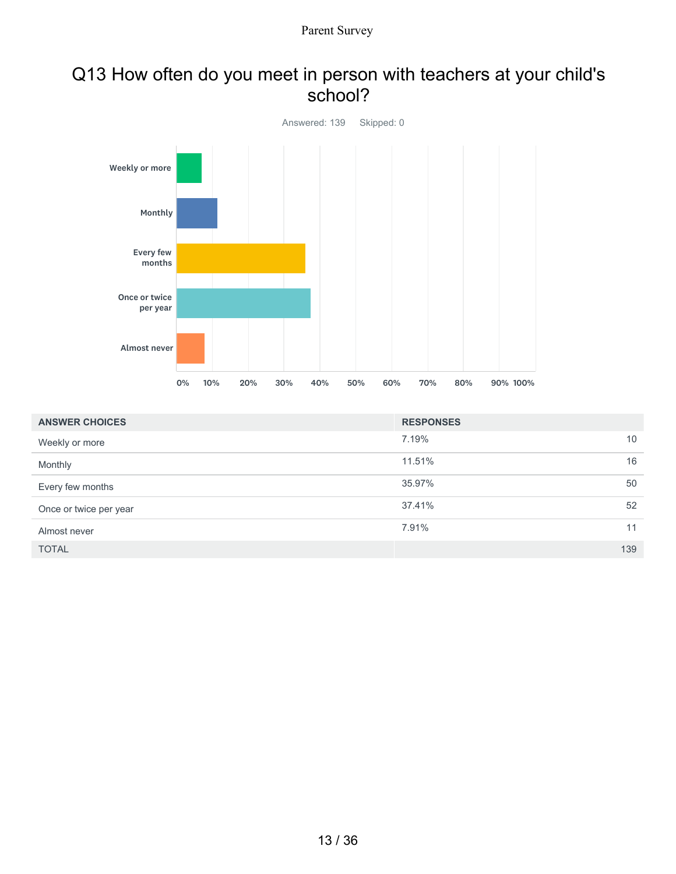#### Q13 How often do you meet in person with teachers at your child's school?



| <b>ANSWER CHOICES</b>  | <b>RESPONSES</b> |     |
|------------------------|------------------|-----|
| Weekly or more         | 7.19%            | 10  |
| Monthly                | 11.51%           | 16  |
| Every few months       | 35.97%           | 50  |
| Once or twice per year | 37.41%           | 52  |
| Almost never           | 7.91%            | 11  |
| <b>TOTAL</b>           |                  | 139 |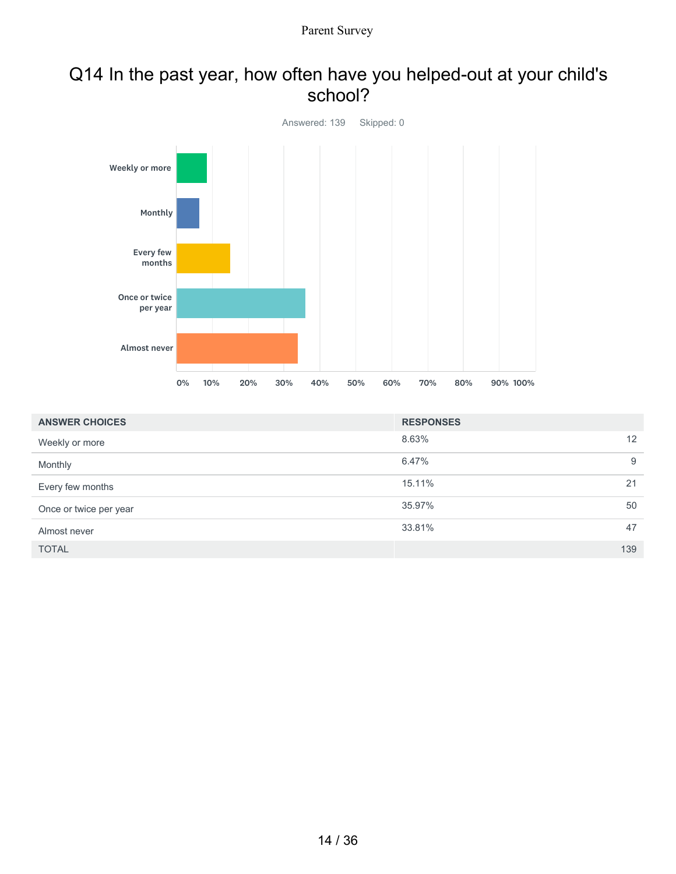#### Q14 In the past year, how often have you helped-out at your child's school?



| <b>ANSWER CHOICES</b>  | <b>RESPONSES</b> |   |
|------------------------|------------------|---|
| Weekly or more         | 8.63%<br>12      |   |
| Monthly                | 6.47%            | 9 |
| Every few months       | 21<br>15.11%     |   |
| Once or twice per year | 50<br>35.97%     |   |
| Almost never           | 47<br>33.81%     |   |
| <b>TOTAL</b>           | 139              |   |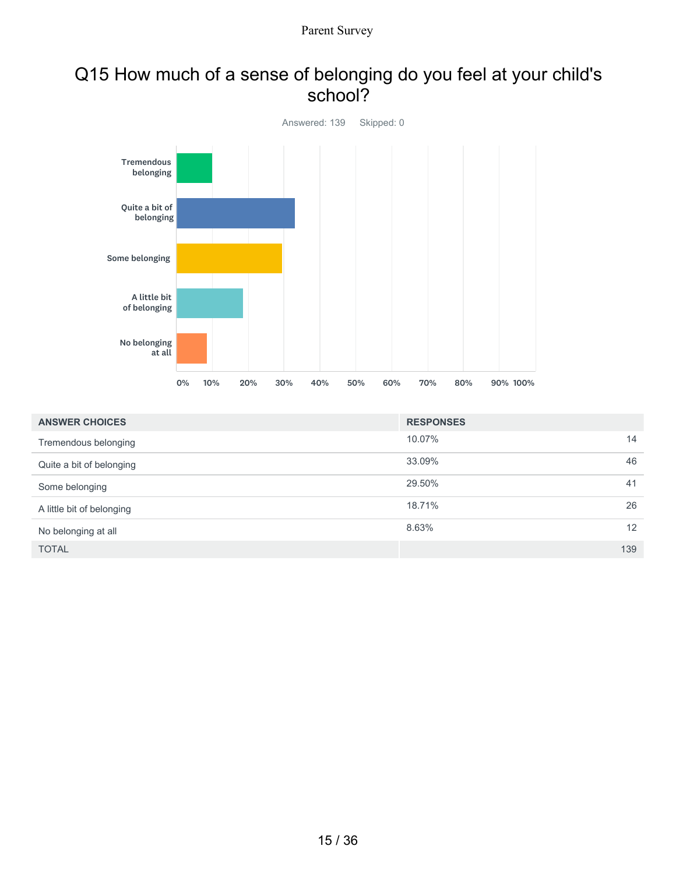#### Q15 How much of a sense of belonging do you feel at your child's school?



| <b>ANSWER CHOICES</b>     | <b>RESPONSES</b> |     |
|---------------------------|------------------|-----|
| Tremendous belonging      | 10.07%           | 14  |
| Quite a bit of belonging  | 33.09%           | 46  |
| Some belonging            | 29.50%           | 41  |
| A little bit of belonging | 18.71%           | 26  |
| No belonging at all       | 8.63%            | 12  |
| <b>TOTAL</b>              |                  | 139 |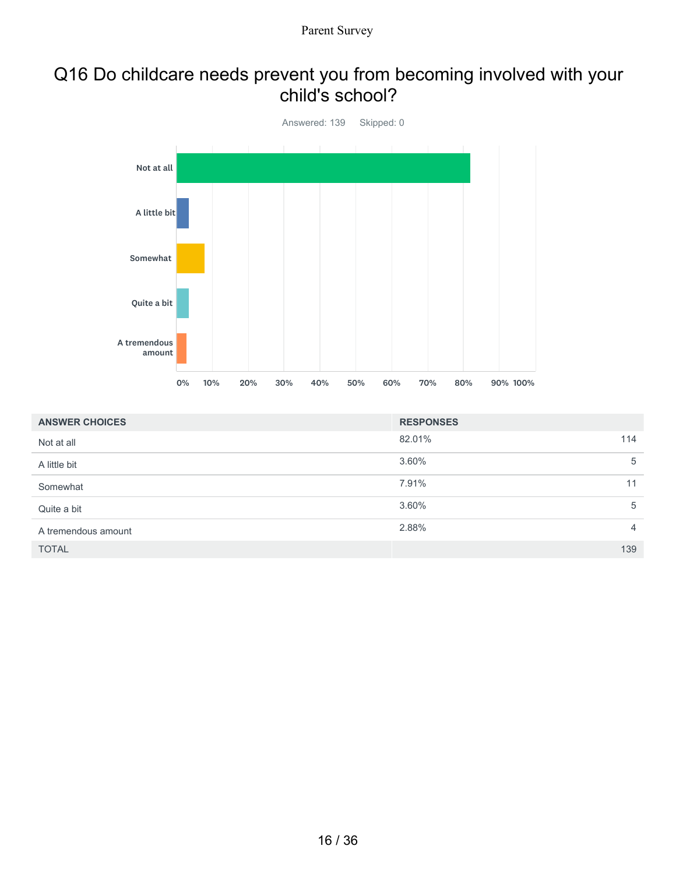#### Q16 Do childcare needs prevent you from becoming involved with your child's school?



| <b>ANSWER CHOICES</b> | <b>RESPONSES</b> |                |
|-----------------------|------------------|----------------|
| Not at all            | 82.01%           | 114            |
| A little bit          | 3.60%            | 5              |
| Somewhat              | 7.91%            | 11             |
| Quite a bit           | 3.60%            | 5              |
| A tremendous amount   | 2.88%            | $\overline{4}$ |
| <b>TOTAL</b>          |                  | 139            |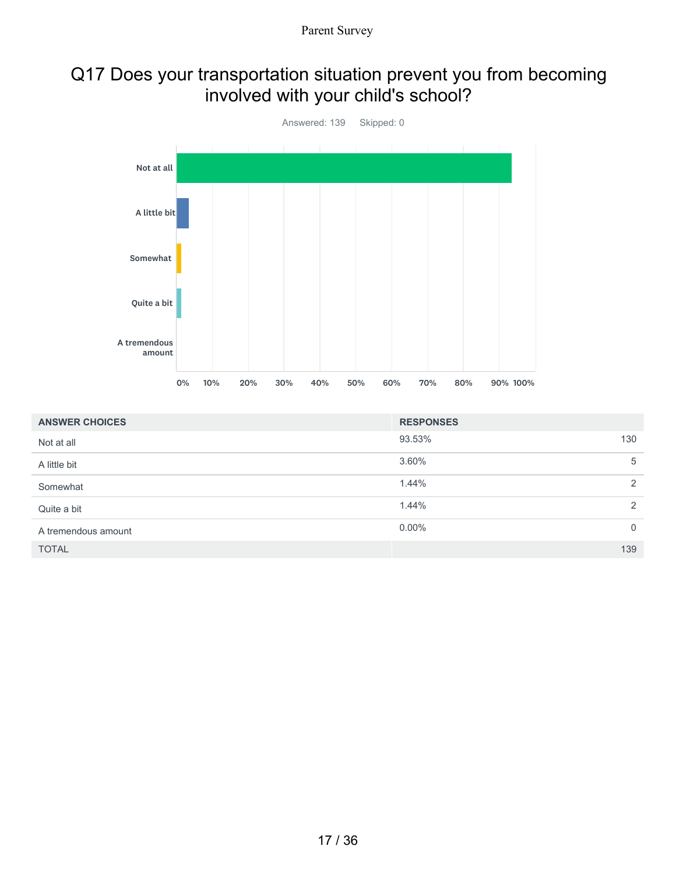## Q17 Does your transportation situation prevent you from becoming involved with your child's school?



| <b>ANSWER CHOICES</b> | <b>RESPONSES</b> |                |
|-----------------------|------------------|----------------|
| Not at all            | 93.53%           | 130            |
| A little bit          | 3.60%            | 5              |
| Somewhat              | 1.44%            | 2              |
| Quite a bit           | 1.44%            | 2              |
| A tremendous amount   | $0.00\%$         | $\overline{0}$ |
| <b>TOTAL</b>          |                  | 139            |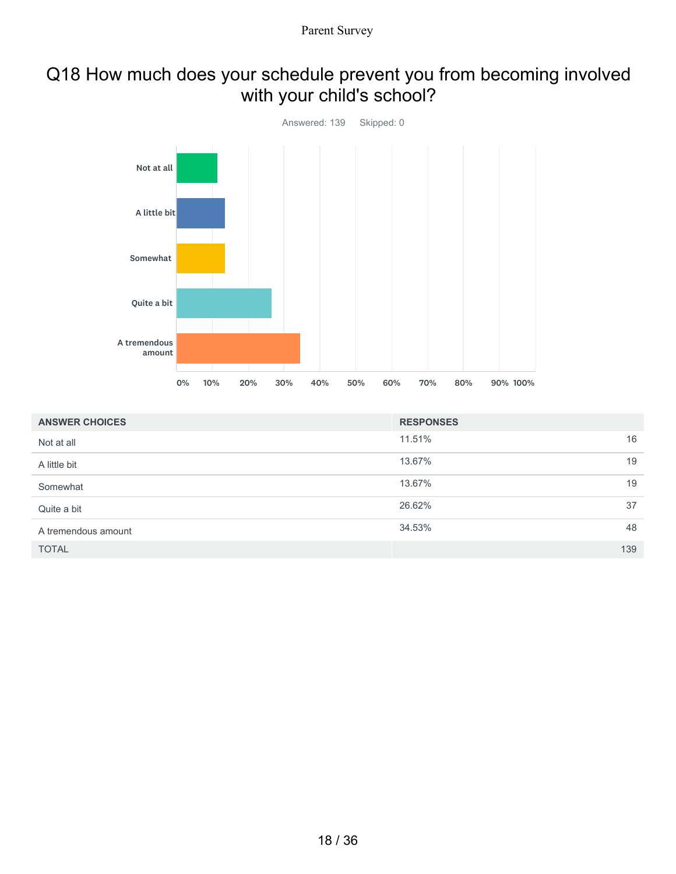# Q18 How much does your schedule prevent you from becoming involved with your child's school?



| <b>ANSWER CHOICES</b> | <b>RESPONSES</b> |
|-----------------------|------------------|
| Not at all            | 16<br>11.51%     |
| A little bit          | 19<br>13.67%     |
| Somewhat              | 19<br>13.67%     |
| Quite a bit           | 37<br>26.62%     |
| A tremendous amount   | 48<br>34.53%     |
| <b>TOTAL</b>          | 139              |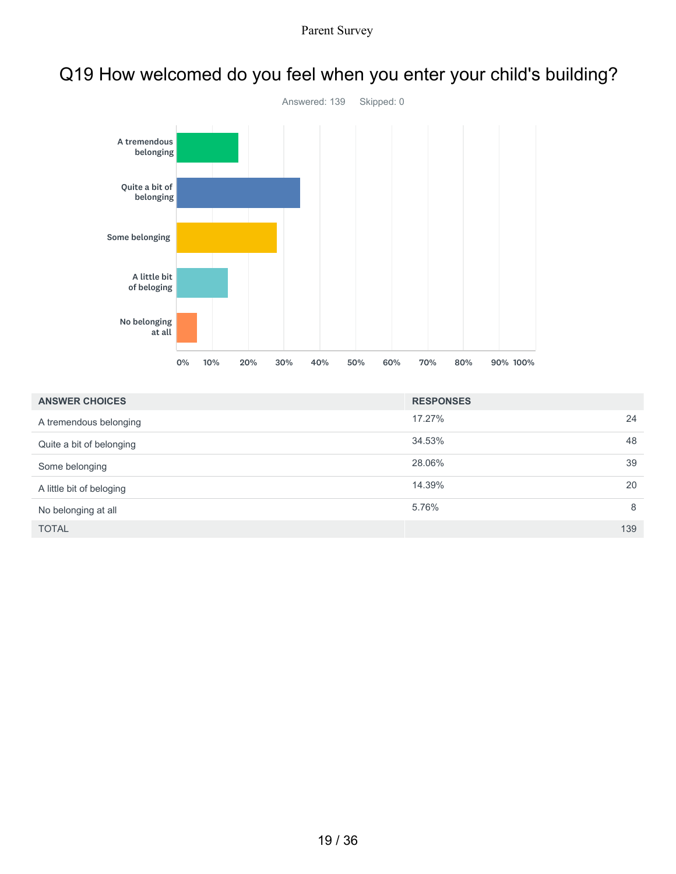

## Q19 How welcomed do you feel when you enter your child's building?

| <b>ANSWER CHOICES</b>    | <b>RESPONSES</b> |     |
|--------------------------|------------------|-----|
| A tremendous belonging   | 17.27%           | 24  |
| Quite a bit of belonging | 34.53%           | 48  |
| Some belonging           | 28.06%           | 39  |
| A little bit of beloging | 14.39%           | 20  |
| No belonging at all      | 5.76%            | 8   |
| <b>TOTAL</b>             |                  | 139 |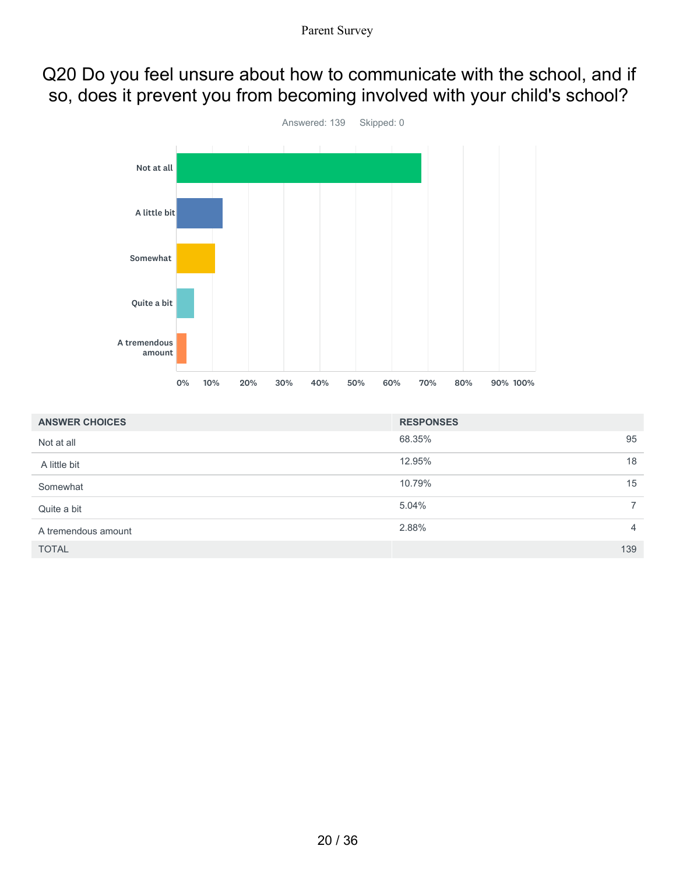## Q20 Do you feel unsure about how to communicate with the school, and if so, does it prevent you from becoming involved with your child's school?



| <b>ANSWER CHOICES</b> | <b>RESPONSES</b> |                |
|-----------------------|------------------|----------------|
| Not at all            | 68.35%           | 95             |
| A little bit          | 12.95%           | 18             |
| Somewhat              | 10.79%           | 15             |
| Quite a bit           | 5.04%            | $\overline{7}$ |
| A tremendous amount   | 2.88%            | $\overline{4}$ |
| <b>TOTAL</b>          |                  | 139            |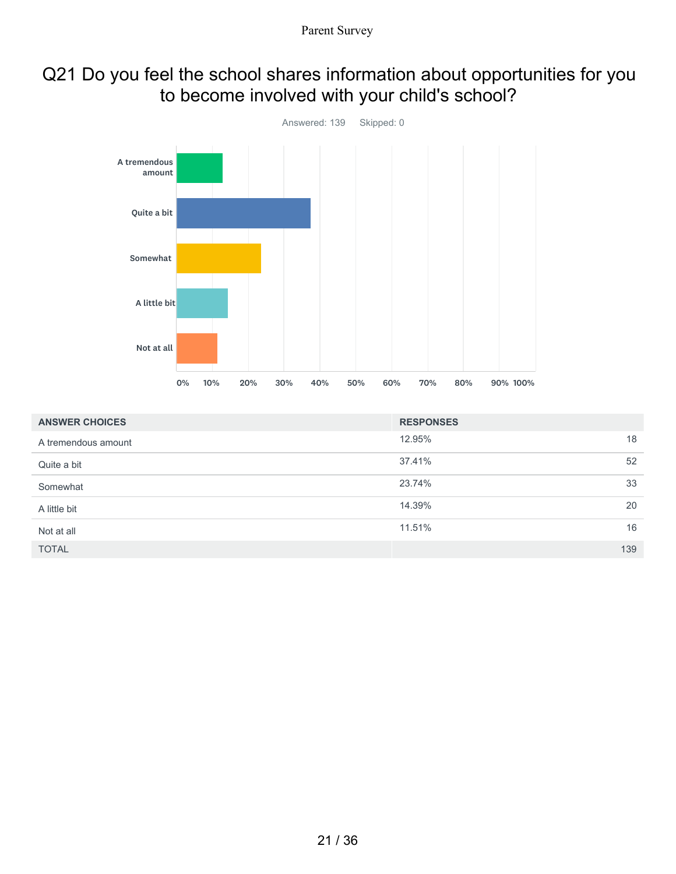## Q21 Do you feel the school shares information about opportunities for you to become involved with your child's school?



| <b>ANSWER CHOICES</b> | <b>RESPONSES</b> |     |
|-----------------------|------------------|-----|
| A tremendous amount   | 12.95%           | 18  |
| Quite a bit           | 37.41%           | 52  |
| Somewhat              | 23.74%           | 33  |
| A little bit          | 14.39%           | 20  |
| Not at all            | 11.51%           | 16  |
| <b>TOTAL</b>          |                  | 139 |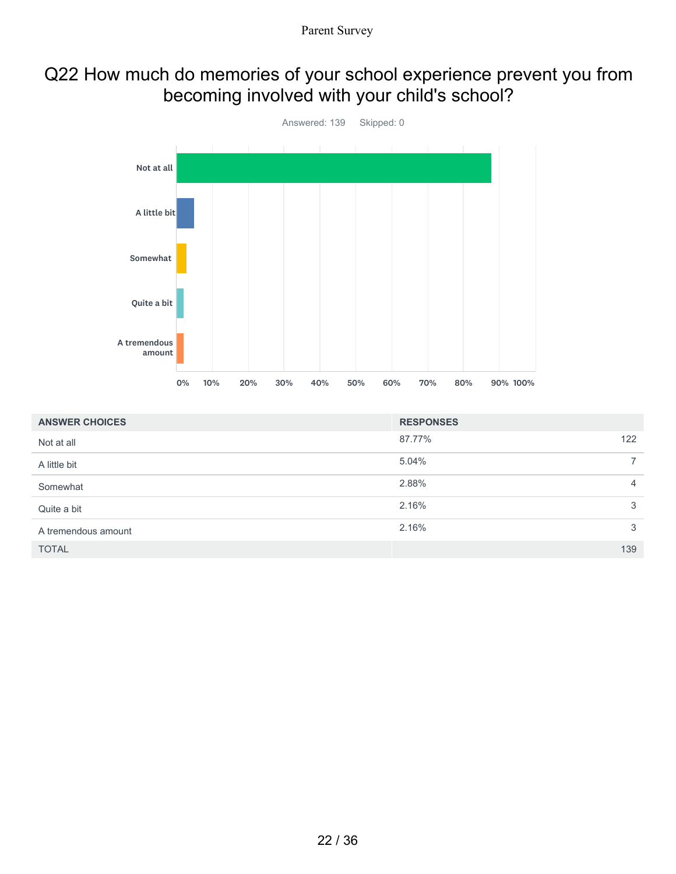### Q22 How much do memories of your school experience prevent you from becoming involved with your child's school?



| <b>ANSWER CHOICES</b> | <b>RESPONSES</b> |                |
|-----------------------|------------------|----------------|
| Not at all            | 87.77%           | 122            |
| A little bit          | 5.04%            | $\overline{7}$ |
| Somewhat              | 2.88%            | $\overline{4}$ |
| Quite a bit           | 2.16%            | 3              |
| A tremendous amount   | 2.16%            | 3              |
| <b>TOTAL</b>          |                  | 139            |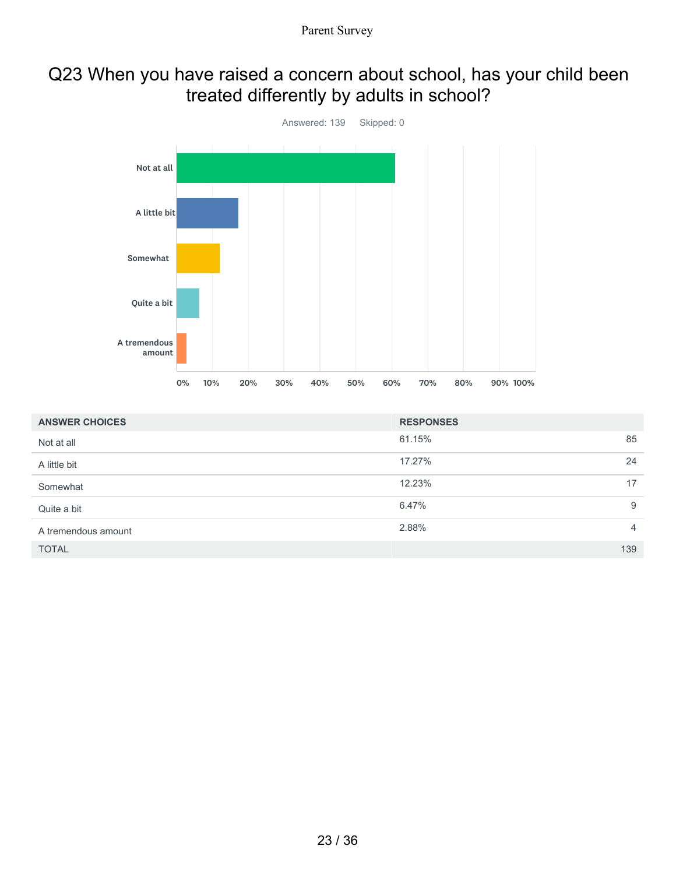### Q23 When you have raised a concern about school, has your child been treated differently by adults in school?



| <b>ANSWER CHOICES</b> | <b>RESPONSES</b> |                |
|-----------------------|------------------|----------------|
| Not at all            | 61.15%           | 85             |
| A little bit          | 17.27%           | 24             |
| Somewhat              | 12.23%           | 17             |
| Quite a bit           | 6.47%            | 9              |
| A tremendous amount   | 2.88%            | $\overline{4}$ |
| <b>TOTAL</b>          |                  | 139            |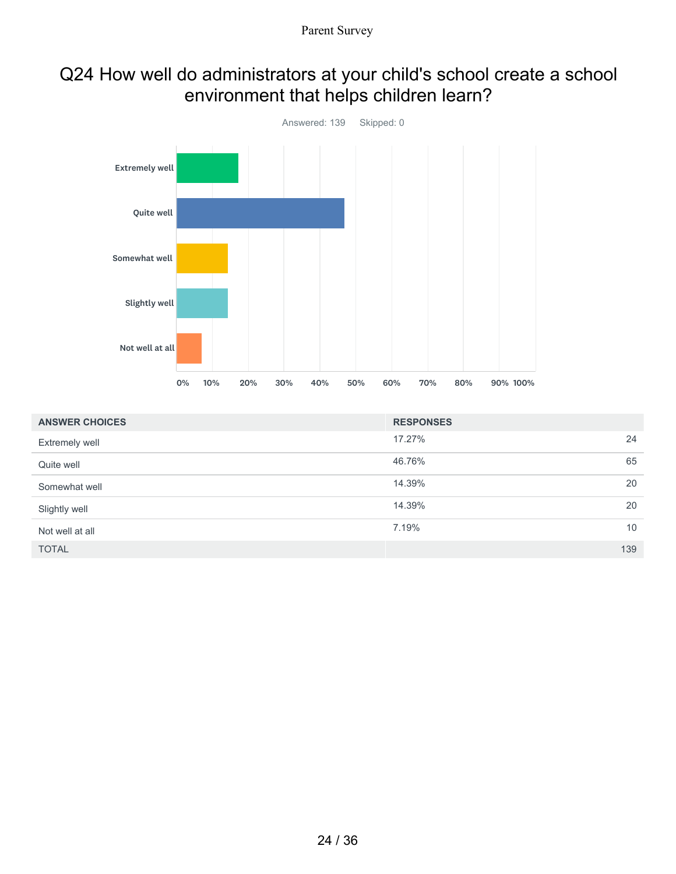### Q24 How well do administrators at your child's school create a school environment that helps children learn?



| <b>ANSWER CHOICES</b> | <b>RESPONSES</b> |     |
|-----------------------|------------------|-----|
| Extremely well        | 17.27%           | 24  |
| Quite well            | 46.76%           | 65  |
| Somewhat well         | 14.39%           | 20  |
| Slightly well         | 14.39%           | 20  |
| Not well at all       | 7.19%            | 10  |
| <b>TOTAL</b>          |                  | 139 |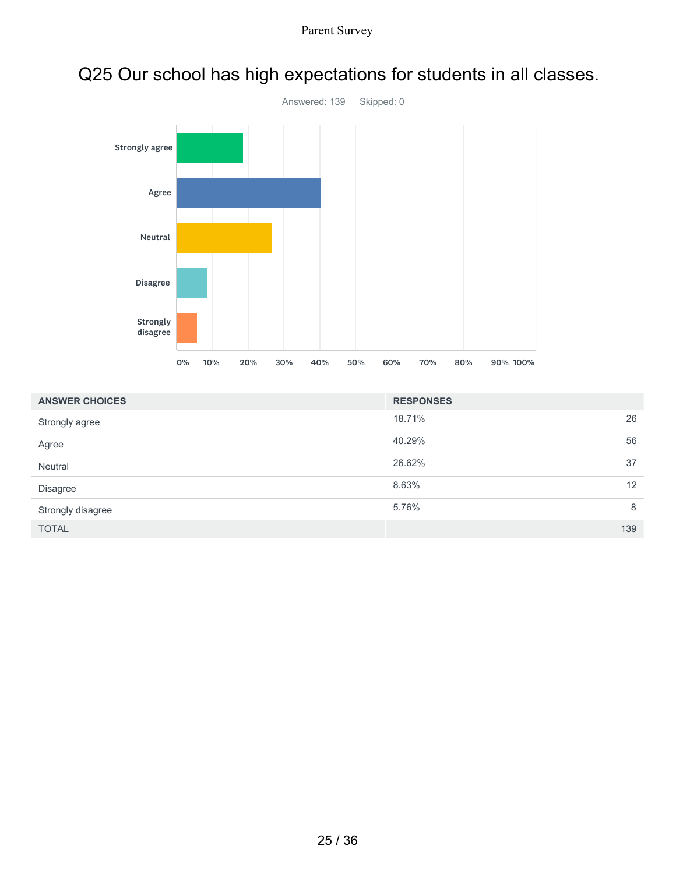

# Q25 Our school has high expectations for students in all classes.

| <b>ANSWER CHOICES</b> | <b>RESPONSES</b> |     |
|-----------------------|------------------|-----|
| Strongly agree        | 18.71%           | 26  |
| Agree                 | 40.29%           | 56  |
| Neutral               | 26.62%           | 37  |
| <b>Disagree</b>       | 8.63%            | 12  |
| Strongly disagree     | 5.76%            | 8   |
| <b>TOTAL</b>          |                  | 139 |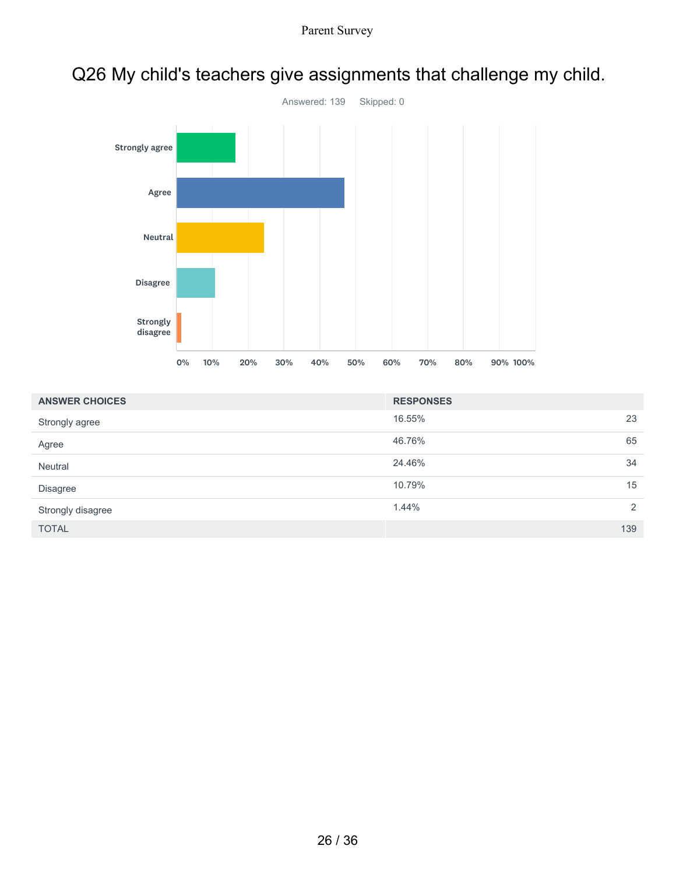

# Q26 My child's teachers give assignments that challenge my child.

| <b>ANSWER CHOICES</b> | <b>RESPONSES</b> |     |
|-----------------------|------------------|-----|
| Strongly agree        | 16.55%           | 23  |
| Agree                 | 46.76%           | 65  |
| Neutral               | 24.46%           | 34  |
| <b>Disagree</b>       | 10.79%           | 15  |
| Strongly disagree     | 1.44%            | 2   |
| <b>TOTAL</b>          |                  | 139 |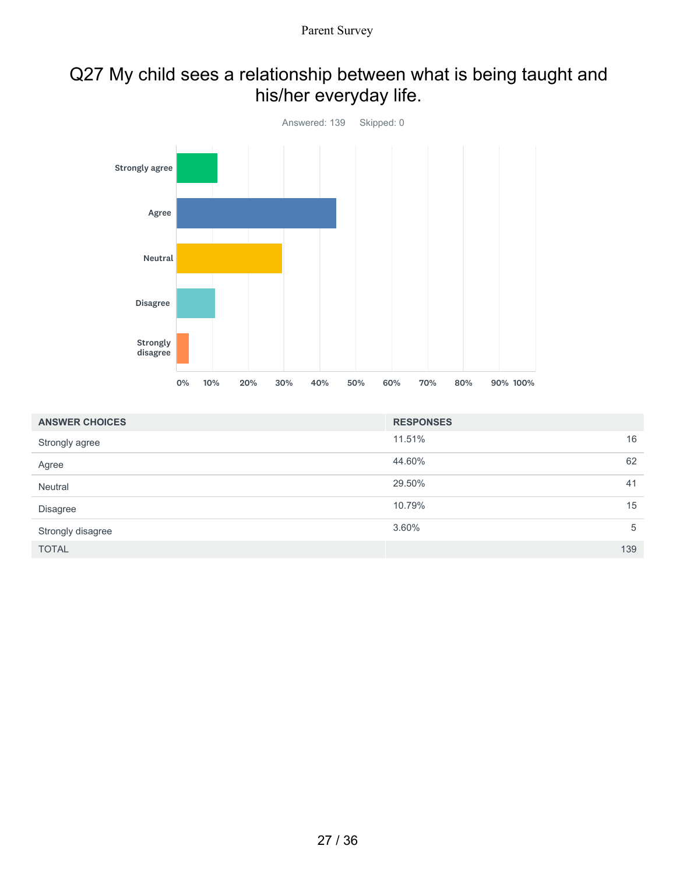# Q27 My child sees a relationship between what is being taught and his/her everyday life.



| <b>ANSWER CHOICES</b> | <b>RESPONSES</b> |     |
|-----------------------|------------------|-----|
| Strongly agree        | 11.51%           | 16  |
| Agree                 | 44.60%           | 62  |
| Neutral               | 29.50%           | 41  |
| <b>Disagree</b>       | 10.79%           | 15  |
| Strongly disagree     | 3.60%            | 5   |
| <b>TOTAL</b>          |                  | 139 |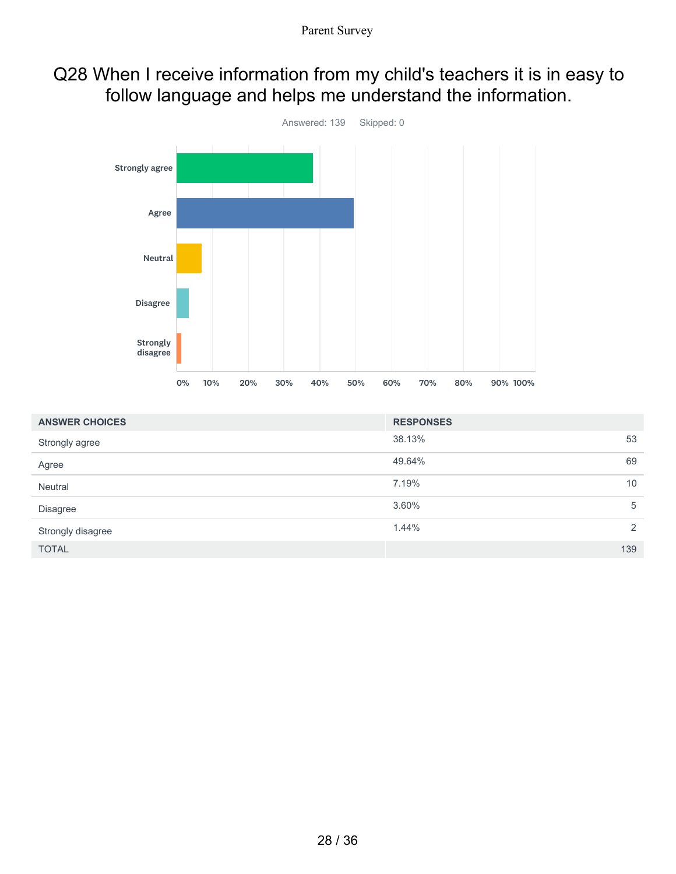## Q28 When I receive information from my child's teachers it is in easy to follow language and helps me understand the information.



| <b>ANSWER CHOICES</b> | <b>RESPONSES</b> |     |
|-----------------------|------------------|-----|
| Strongly agree        | 38.13%           | 53  |
| Agree                 | 49.64%           | 69  |
| Neutral               | 7.19%            | 10  |
| <b>Disagree</b>       | 3.60%            | 5   |
| Strongly disagree     | 1.44%            | 2   |
| <b>TOTAL</b>          |                  | 139 |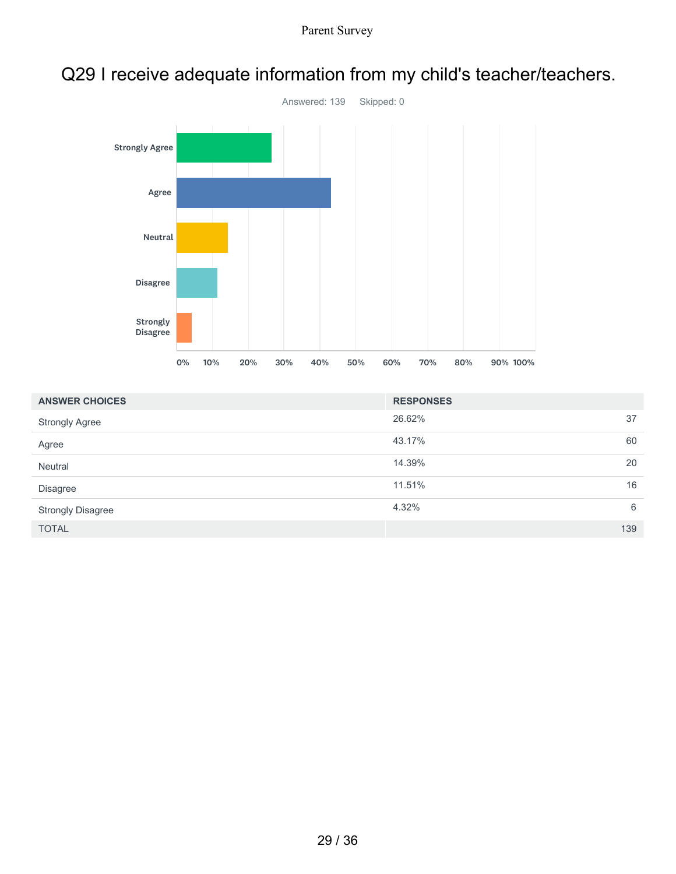

## Q29 I receive adequate information from my child's teacher/teachers.

| <b>ANSWER CHOICES</b>    | <b>RESPONSES</b> |     |
|--------------------------|------------------|-----|
| <b>Strongly Agree</b>    | 26.62%           | 37  |
| Agree                    | 43.17%           | 60  |
| Neutral                  | 14.39%           | 20  |
| <b>Disagree</b>          | 11.51%           | 16  |
| <b>Strongly Disagree</b> | 4.32%            | 6   |
| <b>TOTAL</b>             |                  | 139 |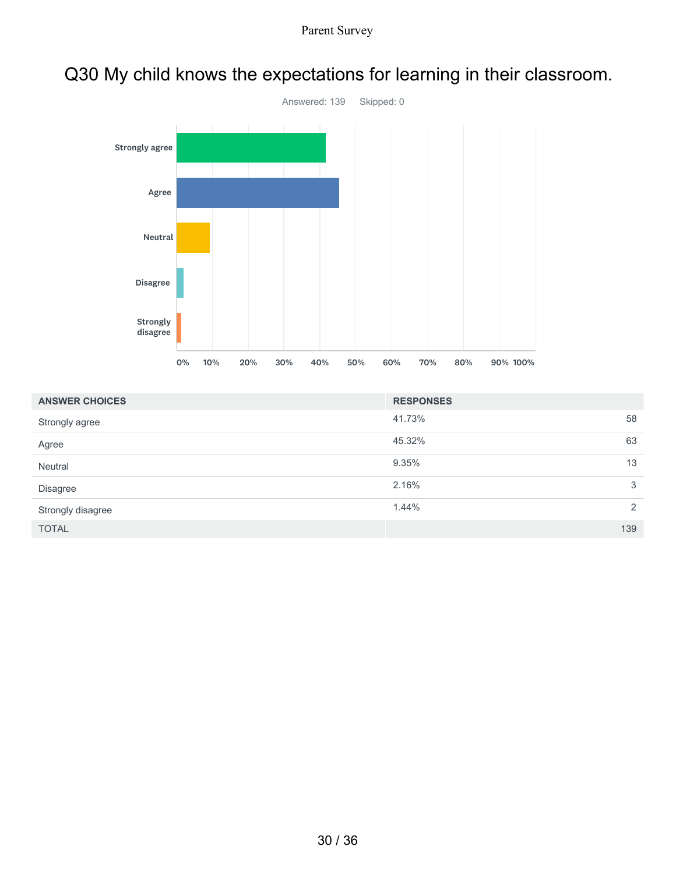# Q30 My child knows the expectations for learning in their classroom.



| <b>ANSWER CHOICES</b> | <b>RESPONSES</b> |     |
|-----------------------|------------------|-----|
| Strongly agree        | 41.73%           | 58  |
| Agree                 | 45.32%           | 63  |
| Neutral               | 9.35%            | 13  |
| <b>Disagree</b>       | 2.16%            | 3   |
| Strongly disagree     | 1.44%            | 2   |
| <b>TOTAL</b>          |                  | 139 |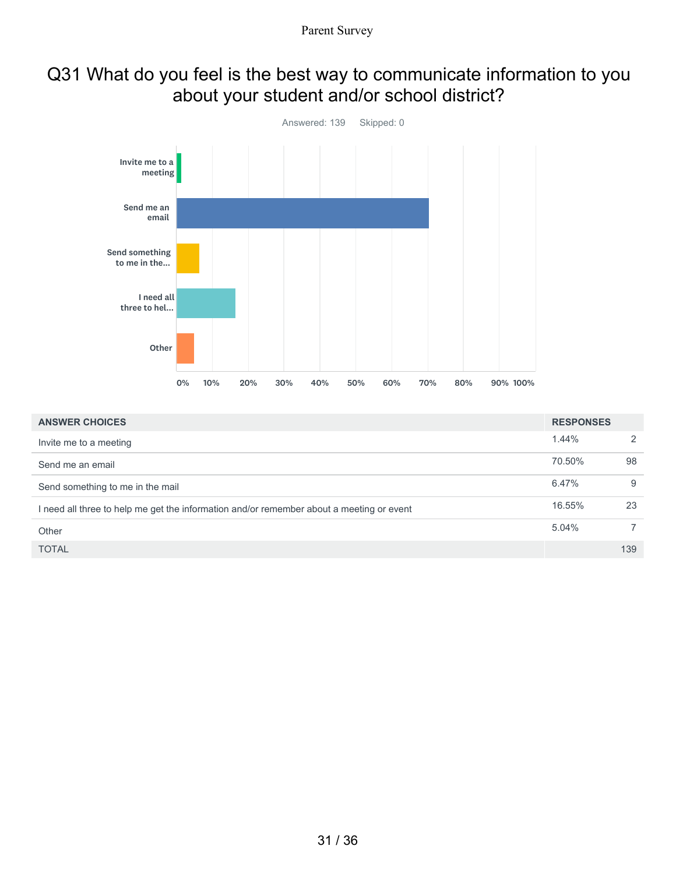# Q31 What do you feel is the best way to communicate information to you about your student and/or school district?



| <b>ANSWER CHOICES</b>                                                                    | <b>RESPONSES</b> |                |
|------------------------------------------------------------------------------------------|------------------|----------------|
| Invite me to a meeting                                                                   | 1.44%            | 2              |
| Send me an email                                                                         | 70.50%           | 98             |
| Send something to me in the mail                                                         | 6.47%            | 9              |
| I need all three to help me get the information and/or remember about a meeting or event | 16.55%           | 23             |
| Other                                                                                    | 5.04%            | $\overline{7}$ |
| <b>TOTAL</b>                                                                             |                  | 139            |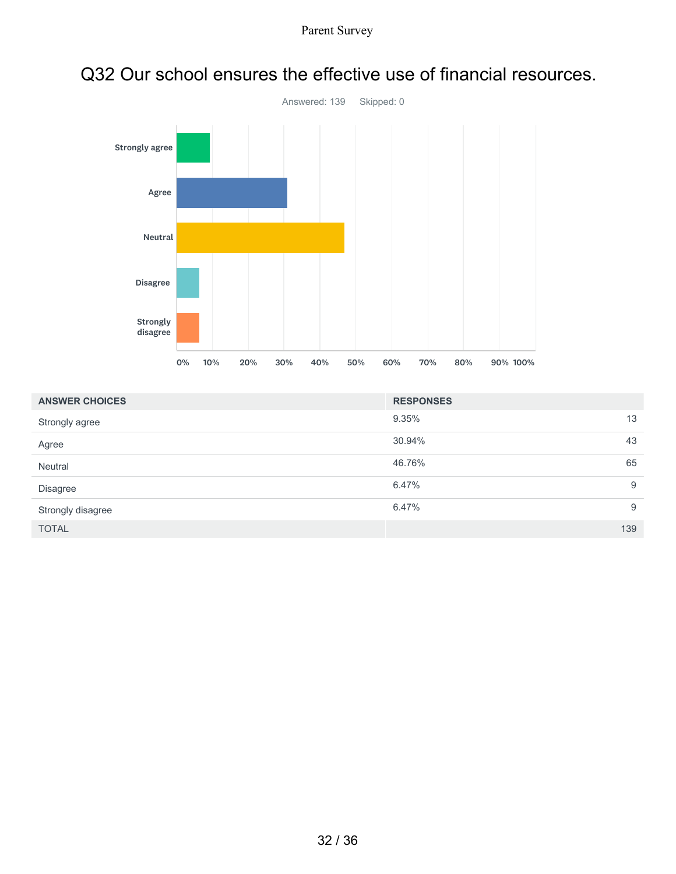

### Q32 Our school ensures the effective use of financial resources.

| <b>ANSWER CHOICES</b> | <b>RESPONSES</b> |     |
|-----------------------|------------------|-----|
| Strongly agree        | 9.35%            | 13  |
| Agree                 | 30.94%           | 43  |
| Neutral               | 46.76%           | 65  |
| Disagree              | 6.47%            | 9   |
| Strongly disagree     | 6.47%            | 9   |
| <b>TOTAL</b>          |                  | 139 |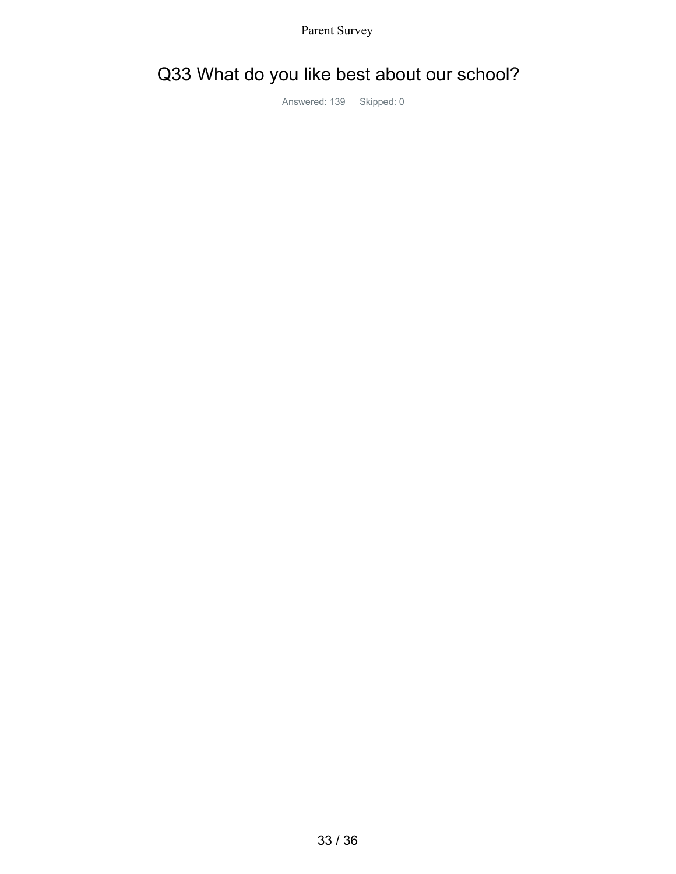# Q33 What do you like best about our school?

Answered: 139 Skipped: 0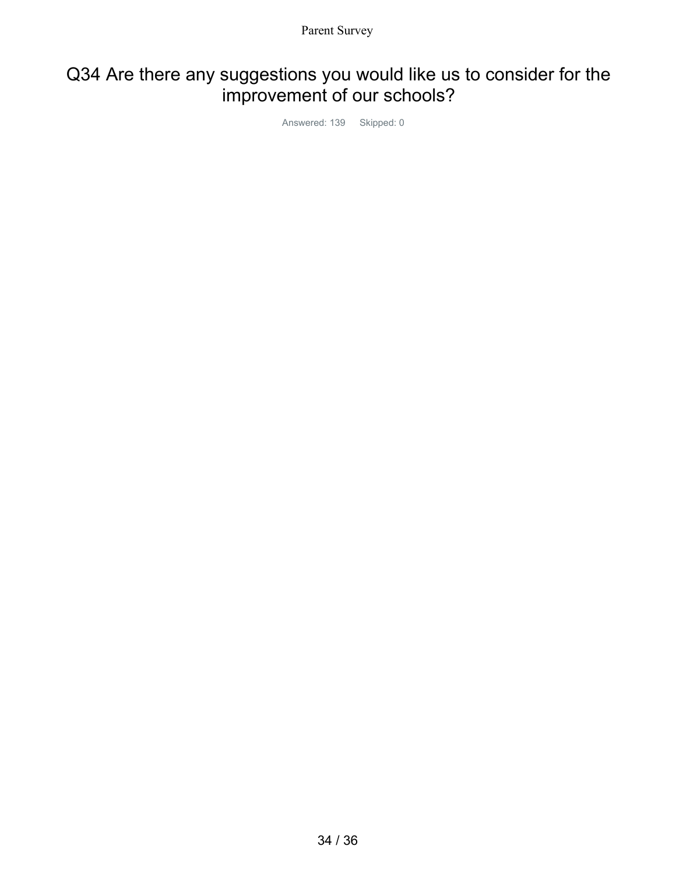## Q34 Are there any suggestions you would like us to consider for the improvement of our schools?

Answered: 139 Skipped: 0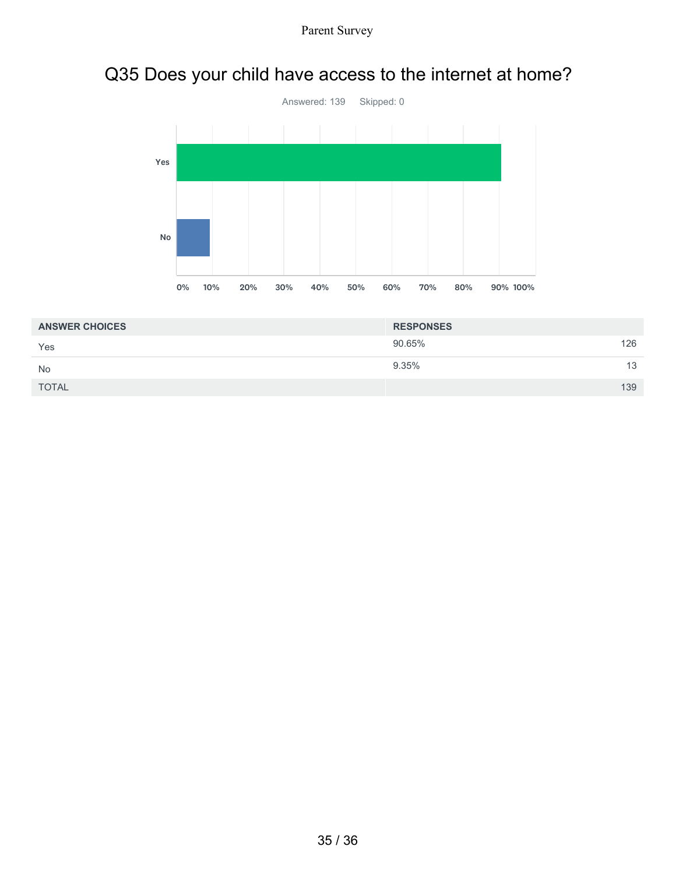# Q35 Does your child have access to the internet at home?



| <b>ANSWER CHOICES</b> | <b>RESPONSES</b> |     |
|-----------------------|------------------|-----|
| Yes                   | 90.65%           | 126 |
| <b>No</b>             | 9.35%            | 13  |
| <b>TOTAL</b>          |                  | 139 |